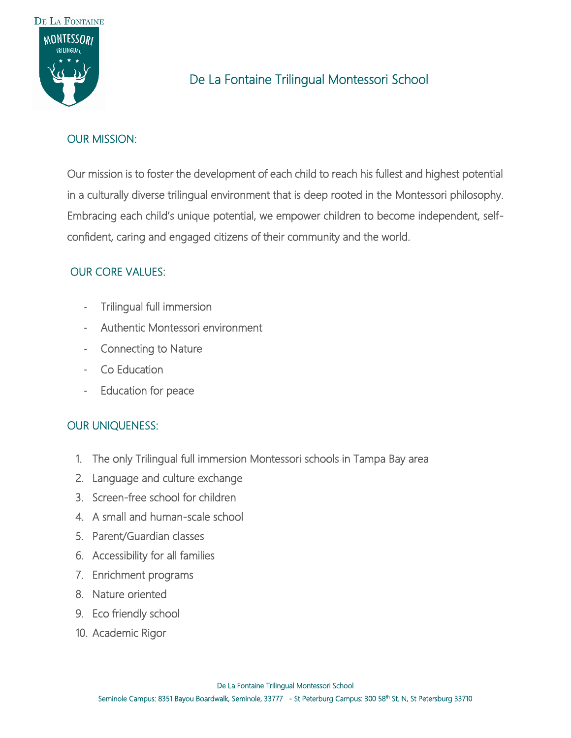

# De La Fontaine Trilingual Montessori School

## OUR MISSION:

Our mission is to foster the development of each child to reach his fullest and highest potential in a culturally diverse trilingual environment that is deep rooted in the Montessori philosophy. Embracing each child's unique potential, we empower children to become independent, selfconfident, caring and engaged citizens of their community and the world.

# OUR CORE VALUES:

- Trilingual full immersion
- Authentic Montessori environment
- Connecting to Nature
- Co Education
- Education for peace

#### OUR UNIQUENESS:

- 1. The only Trilingual full immersion Montessori schools in Tampa Bay area
- 2. Language and culture exchange
- 3. Screen-free school for children
- 4. A small and human-scale school
- 5. Parent/Guardian classes
- 6. Accessibility for all families
- 7. Enrichment programs
- 8. Nature oriented
- 9. Eco friendly school
- 10. Academic Rigor